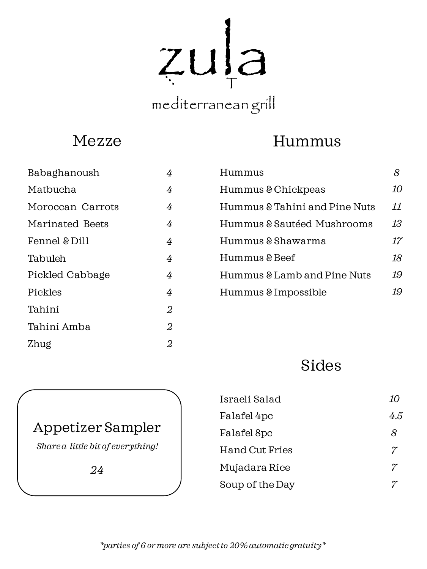zula T

# mediterranean grill

### Mezze

# Hummus

| Babaghanoush     | 4              |
|------------------|----------------|
| Matbucha         | 4              |
| Moroccan Carrots | 4              |
| Marinated Beets  | 4              |
| Fennel & Dill    | 4              |
| Tabuleh          | 4              |
| Pickled Cabbage  | 4              |
| Pickles          | 4              |
| Tahini           | $\overline{2}$ |
| Tahini Amba      | $\overline{2}$ |
| Zhug             | 2              |
|                  |                |

| Hummus                        |    |
|-------------------------------|----|
| Hummus & Chickpeas            | 10 |
| Hummus & Tahini and Pine Nuts | 11 |
| Hummus & Sautéed Mushrooms    | 13 |
| Hummus & Shawarma             | 17 |
| Hummus & Beef                 | 18 |
| Hummus & Lamb and Pine Nuts   | 19 |
| Hummus & Impossible           |    |

## Sides

| Israeli Salad   | 10       |
|-----------------|----------|
| Falafel 4pc     | 4.5      |
| Falafel 8pc     | 8        |
| Hand Cut Fries  | 7        |
| Mujadara Rice   | $\gamma$ |
| Soup of the Day |          |

#### Appetizer Sampler

*Share a little bit of everything!*

*24*

*\*parties of 6 or more are subject to 20% automatic gratuity\**